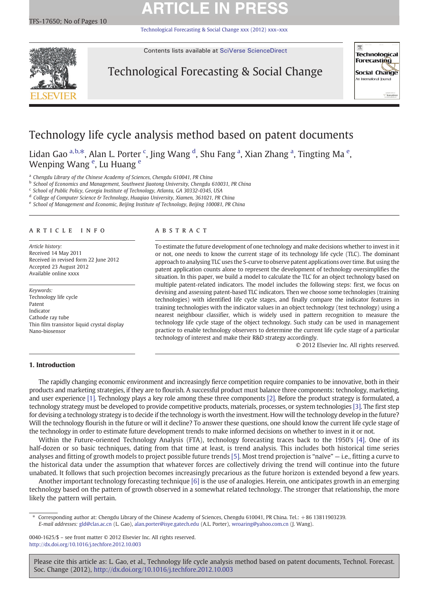# **ARTICLE IN PRESS**

[Technological Forecasting & Social Change xxx \(2012\) xxx](http://dx.doi.org/10.1016/j.techfore.2012.10.003)–xxx



Contents lists available at [SciVerse ScienceDirect](http://www.sciencedirect.com/science/journal/00401625)

## Technological Forecasting & Social Change



## Technology life cycle analysis method based on patent documents

Lidan Gao <sup>a,b, $\ast$ , Alan L. Porter  $^{\mathsf{c}}$ , Jing Wang  $^{\mathsf{d}}$ , Shu Fang  $^{\mathsf{a}}$ , Xian Zhang  $^{\mathsf{a}}$ , Tingting Ma  $^{\mathsf{e}}$ ,</sup> Wenping Wang <sup>e</sup>, Lu Huang <sup>e</sup>

<sup>a</sup> Chengdu Library of the Chinese Academy of Sciences, Chengdu 610041, PR China

**b** School of Economics and Management, Southwest Jiaotong University, Chengdu 610031, PR China

<sup>c</sup> School of Public Policy, Georgia Institute of Technology, Atlanta, GA 30332-0345, USA

<sup>d</sup> College of Computer Science & Technology, Huaqiao University, Xiamen, 361021, PR China

<sup>e</sup> School of Management and Economic, Beijing Institute of Technology, Beijing 100081, PR China

### article info abstract

Article history: Received 14 May 2011 Received in revised form 22 June 2012 Accepted 23 August 2012 Available online xxxx

Keywords: Technology life cycle Patent Indicator Cathode ray tube Thin film transistor liquid crystal display Nano-biosensor

To estimate the future development of one technology and make decisions whether to invest in it or not, one needs to know the current stage of its technology life cycle (TLC). The dominant approach to analysing TLC uses the S-curve to observe patent applications over time. But using the patent application counts alone to represent the development of technology oversimplifies the situation. In this paper, we build a model to calculate the TLC for an object technology based on multiple patent-related indicators. The model includes the following steps: first, we focus on devising and assessing patent-based TLC indicators. Then we choose some technologies (training technologies) with identified life cycle stages, and finally compare the indicator features in training technologies with the indicator values in an object technology (test technology) using a nearest neighbour classifier, which is widely used in pattern recognition to measure the technology life cycle stage of the object technology. Such study can be used in management practice to enable technology observers to determine the current life cycle stage of a particular technology of interest and make their R&D strategy accordingly.

© 2012 Elsevier Inc. All rights reserved.

## 1. Introduction

The rapidly changing economic environment and increasingly fierce competition require companies to be innovative, both in their products and marketing strategies, if they are to flourish. A successful product must balance three components: technology, marketing, and user experience [\[1\].](#page--1-0) Technology plays a key role among these three components [\[2\]](#page--1-0). Before the product strategy is formulated, a technology strategy must be developed to provide competitive products, materials, processes, or system technologies [\[3\].](#page--1-0) The first step for devising a technology strategy is to decide if the technology is worth the investment. How will the technology develop in the future? Will the technology flourish in the future or will it decline? To answer these questions, one should know the current life cycle stage of the technology in order to estimate future development trends to make informed decisions on whether to invest in it or not.

Within the Future-oriented Technology Analysis (FTA), technology forecasting traces back to the 1950's [\[4\]](#page--1-0). One of its half-dozen or so basic techniques, dating from that time at least, is trend analysis. This includes both historical time series analyses and fitting of growth models to project possible future trends [\[5\].](#page--1-0) Most trend projection is "naïve" — i.e., fitting a curve to the historical data under the assumption that whatever forces are collectively driving the trend will continue into the future unabated. It follows that such projection becomes increasingly precarious as the future horizon is extended beyond a few years.

Another important technology forecasting technique [\[6\]](#page--1-0) is the use of analogies. Herein, one anticipates growth in an emerging technology based on the pattern of growth observed in a somewhat related technology. The stronger that relationship, the more likely the pattern will pertain.

⁎ Corresponding author at: Chengdu Library of the Chinese Academy of Sciences, Chengdu 610041, PR China. Tel.: +86 13811903239. E-mail addresses: [gld@clas.ac.cn](mailto:gld@clas.ac.cn) (L. Gao), [alan.porter@isye.gatech.edu](mailto:alan.porter@isye.gatech.edu) (A.L. Porter), [wroaring@yahoo.com.cn](mailto:wroaring@yahoo.com.cn) (J. Wang).

0040-1625/\$ – see front matter © 2012 Elsevier Inc. All rights reserved. <http://dx.doi.org/10.1016/j.techfore.2012.10.003>

Please cite this article as: L. Gao, et al., Technology life cycle analysis method based on patent documents, Technol. Forecast. Soc. Change (2012), <http://dx.doi.org/10.1016/j.techfore.2012.10.003>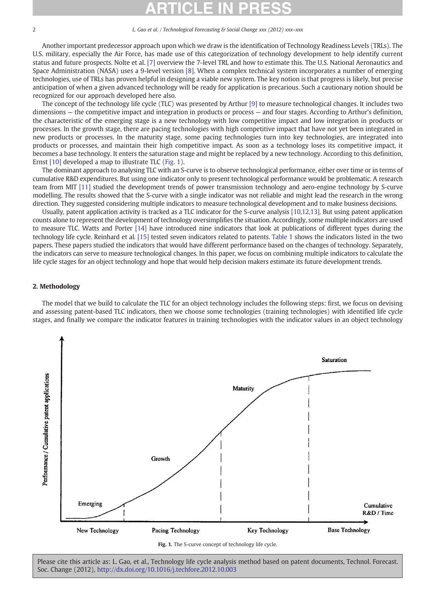### 2 L. Gao et al. / Technological Forecasting & Social Change xxx (2012) xxx–xxx

Another important predecessor approach upon which we draw is the identification of Technology Readiness Levels (TRLs). The U.S. military, especially the Air Force, has made use of this categorization of technology development to help identify current status and future prospects. Nolte et al. [\[7\]](#page--1-0) overview the 7-level TRL and how to estimate this. The U.S. National Aeronautics and Space Administration (NASA) uses a 9-level version [\[8\]](#page--1-0). When a complex technical system incorporates a number of emerging technologies, use of TRLs has proven helpful in designing a viable new system. The key notion is that progress is likely, but precise anticipation of when a given advanced technology will be ready for application is precarious. Such a cautionary notion should be recognized for our approach developed here also.

The concept of the technology life cycle (TLC) was presented by Arthur [\[9\]](#page--1-0) to measure technological changes. It includes two dimensions — the competitive impact and integration in products or process — and four stages. According to Arthur's definition, the characteristic of the emerging stage is a new technology with low competitive impact and low integration in products or processes. In the growth stage, there are pacing technologies with high competitive impact that have not yet been integrated in new products or processes. In the maturity stage, some pacing technologies turn into key technologies, are integrated into products or processes, and maintain their high competitive impact. As soon as a technology loses its competitive impact, it becomes a base technology. It enters the saturation stage and might be replaced by a new technology. According to this definition, Ernst [\[10\]](#page--1-0) developed a map to illustrate TLC (Fig. 1).

The dominant approach to analysing TLC with an S-curve is to observe technological performance, either over time or in terms of cumulative R&D expenditures. But using one indicator only to present technological performance would be problematic. A research team from MIT [\[11\]](#page--1-0) studied the development trends of power transmission technology and aero-engine technology by S-curve modelling. The results showed that the S-curve with a single indicator was not reliable and might lead the research in the wrong direction. They suggested considering multiple indicators to measure technological development and to make business decisions.

Usually, patent application activity is tracked as a TLC indicator for the S-curve analysis [\[10,12,13\].](#page--1-0) But using patent application counts alone to represent the development of technology oversimplifies the situation. Accordingly, some multiple indicators are used to measure TLC. Watts and Porter [\[14\]](#page--1-0) have introduced nine indicators that look at publications of different types during the technology life cycle. Reinhard et al. [\[15\]](#page--1-0) tested seven indicators related to patents. [Table 1](#page--1-0) shows the indicators listed in the two papers. These papers studied the indicators that would have different performance based on the changes of technology. Separately, the indicators can serve to measure technological changes. In this paper, we focus on combining multiple indicators to calculate the life cycle stages for an object technology and hope that would help decision makers estimate its future development trends.

### 2. Methodology

The model that we build to calculate the TLC for an object technology includes the following steps: first, we focus on devising and assessing patent-based TLC indicators, then we choose some technologies (training technologies) with identified life cycle stages, and finally we compare the indicator features in training technologies with the indicator values in an object technology





Please cite this article as: L. Gao, et al., Technology life cycle analysis method based on patent documents, Technol. Forecast. Soc. Change (2012), <http://dx.doi.org/10.1016/j.techfore.2012.10.003>